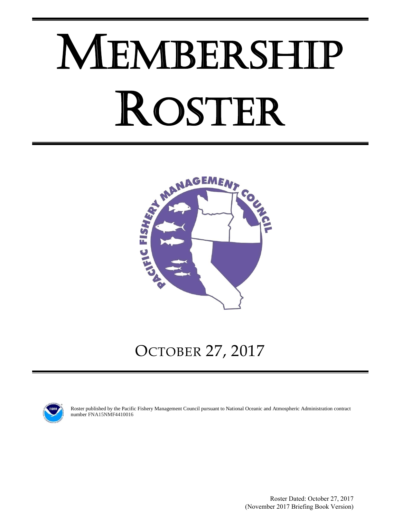# MEMBERSHIP ROSTER



OCTOBER 27, 2017



Roster published by the Pacific Fishery Management Council pursuant to National Oceanic and Atmospheric Administration contract number FNA15NMF4410016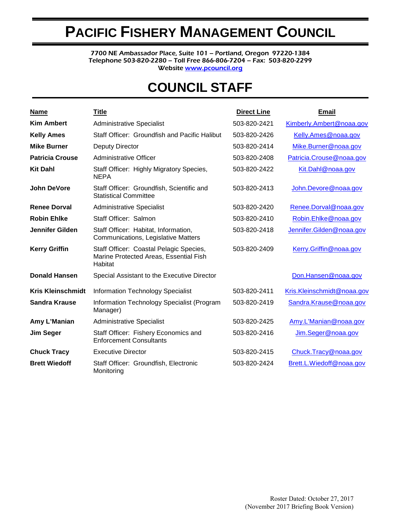# **PACIFIC FISHERY MANAGEMENT COUNCIL**

7700 NE Ambassador Place, Suite 101 – Portland, Oregon 97220-1384 Telephone 503-820-2280 – Toll Free 866-806-7204 – Fax: 503-820-2299 Websit[e www.pcouncil.org](http://www.pcouncil.org/)

# **COUNCIL STAFF**

| <b>Name</b>              | <b>Title</b>                                                                                 | <b>Direct Line</b> | <b>Email</b>               |
|--------------------------|----------------------------------------------------------------------------------------------|--------------------|----------------------------|
| <b>Kim Ambert</b>        | <b>Administrative Specialist</b>                                                             | 503-820-2421       | Kimberly.Ambert@noaa.gov   |
| <b>Kelly Ames</b>        | Staff Officer: Groundfish and Pacific Halibut                                                | 503-820-2426       | Kelly.Ames@noaa.gov        |
| <b>Mike Burner</b>       | <b>Deputy Director</b>                                                                       | 503-820-2414       | Mike.Burner@noaa.gov       |
| <b>Patricia Crouse</b>   | <b>Administrative Officer</b>                                                                | 503-820-2408       | Patricia.Crouse@noaa.gov   |
| <b>Kit Dahl</b>          | Staff Officer: Highly Migratory Species,<br><b>NEPA</b>                                      | 503-820-2422       | Kit.Dahl@noaa.gov          |
| <b>John DeVore</b>       | Staff Officer: Groundfish, Scientific and<br><b>Statistical Committee</b>                    | 503-820-2413       | John.Devore@noaa.gov       |
| <b>Renee Dorval</b>      | <b>Administrative Specialist</b>                                                             | 503-820-2420       | Renee.Dorval@noaa.gov      |
| <b>Robin Ehlke</b>       | Staff Officer: Salmon                                                                        | 503-820-2410       | Robin.Ehlke@noaa.gov       |
| <b>Jennifer Gilden</b>   | Staff Officer: Habitat, Information,<br>Communications, Legislative Matters                  | 503-820-2418       | Jennifer.Gilden@noaa.gov   |
| <b>Kerry Griffin</b>     | Staff Officer: Coastal Pelagic Species,<br>Marine Protected Areas, Essential Fish<br>Habitat | 503-820-2409       | Kerry.Griffin@noaa.gov     |
| <b>Donald Hansen</b>     | Special Assistant to the Executive Director                                                  |                    | Don.Hansen@noaa.gov        |
| <b>Kris Kleinschmidt</b> | <b>Information Technology Specialist</b>                                                     | 503-820-2411       | Kris.Kleinschmidt@noaa.gov |
| <b>Sandra Krause</b>     | Information Technology Specialist (Program<br>Manager)                                       | 503-820-2419       | Sandra.Krause@noaa.gov     |
| Amy L'Manian             | <b>Administrative Specialist</b>                                                             | 503-820-2425       | Amy.L'Manian@noaa.gov      |
| <b>Jim Seger</b>         | Staff Officer: Fishery Economics and<br><b>Enforcement Consultants</b>                       | 503-820-2416       | Jim.Seger@noaa.gov         |
| <b>Chuck Tracy</b>       | <b>Executive Director</b>                                                                    | 503-820-2415       | Chuck.Tracy@noaa.gov       |
| <b>Brett Wiedoff</b>     | Staff Officer: Groundfish, Electronic<br>Monitoring                                          | 503-820-2424       | Brett.L.Wiedoff@noaa.gov   |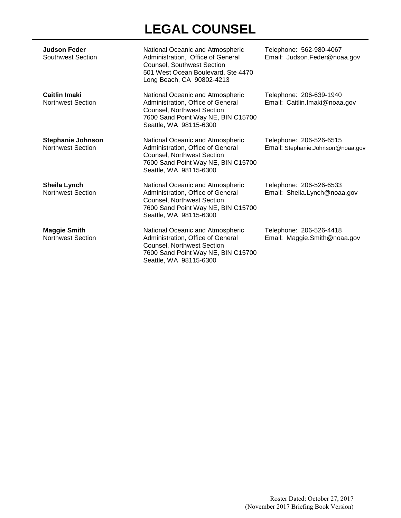# **LEGAL COUNSEL**

| <b>Judson Feder</b><br>Southwest Section             | National Oceanic and Atmospheric<br>Administration, Office of General<br><b>Counsel, Southwest Section</b><br>501 West Ocean Boulevard, Ste 4470<br>Long Beach, CA 90802-4213 | Telephone: 562-980-4067<br>Email: Judson.Feder@noaa.gov      |
|------------------------------------------------------|-------------------------------------------------------------------------------------------------------------------------------------------------------------------------------|--------------------------------------------------------------|
| <b>Caitlin Imaki</b><br><b>Northwest Section</b>     | National Oceanic and Atmospheric<br>Administration, Office of General<br>Counsel, Northwest Section<br>7600 Sand Point Way NE, BIN C15700<br>Seattle, WA 98115-6300           | Telephone: 206-639-1940<br>Email: Caitlin.Imaki@noaa.gov     |
| <b>Stephanie Johnson</b><br><b>Northwest Section</b> | National Oceanic and Atmospheric<br>Administration, Office of General<br>Counsel, Northwest Section<br>7600 Sand Point Way NE, BIN C15700<br>Seattle, WA 98115-6300           | Telephone: 206-526-6515<br>Email: Stephanie.Johnson@noaa.gov |
| Sheila Lynch<br><b>Northwest Section</b>             | National Oceanic and Atmospheric<br>Administration, Office of General<br>Counsel, Northwest Section<br>7600 Sand Point Way NE, BIN C15700<br>Seattle, WA 98115-6300           | Telephone: 206-526-6533<br>Email: Sheila.Lynch@noaa.gov      |
| <b>Maggie Smith</b><br><b>Northwest Section</b>      | National Oceanic and Atmospheric<br>Administration, Office of General<br>Counsel, Northwest Section<br>7600 Sand Point Way NE, BIN C15700                                     | Telephone: 206-526-4418<br>Email: Maggie.Smith@noaa.gov      |

Seattle, WA 98115-6300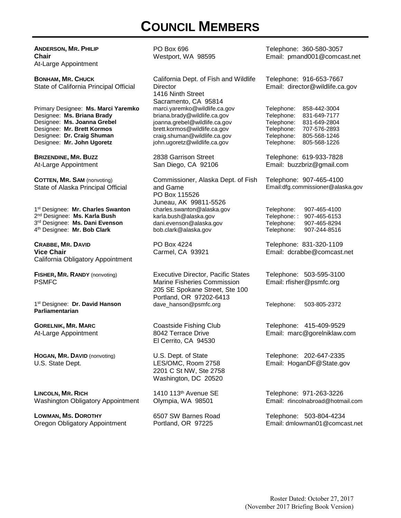# **COUNCIL MEMBERS**

**ANDERSON, MR. PHILIP Chair** At-Large Appointment

**BONHAM, MR. CHUCK** State of California Principal Official

Primary Designee: **Ms. Marci Yaremko** Designee: **Ms. Briana Brady** Designee: **Ms. Joanna Grebel** Designee: **Mr. Brett Kormos** Designee: **Dr. Craig Shuman** Designee: **Mr. John Ugoretz**

**BRIZENDINE, MR. BUZZ** At-Large Appointment

**COTTEN, MR. SAM** (nonvoting) State of Alaska Principal Official

1st Designee: **Mr. Charles Swanton** 2nd Designee: **Ms. Karla Bush** 3rd Designee: **Ms. Dani Evenson** 4th Designee: **Mr. Bob Clark**

**CRABBE, MR. DAVID Vice Chair** California Obligatory Appointment

**FISHER, MR. RANDY** (nonvoting) PSMFC

1st Designee: **Dr. David Hanson Parliamentarian**

**GORELNIK, MR. MARC** At-Large Appointment

**HOGAN, MR. DAVID** (nonvoting) U.S. State Dept.

**LINCOLN, MR. RICH** Washington Obligatory Appointment

**LOWMAN, MS. DOROTHY** Oregon Obligatory Appointment

PO Box 696 Westport, WA 98595

California Dept. of Fish and Wildlife **Director** 1416 Ninth Street Sacramento, CA 95814 marci.yaremko@wildlife.ca.gov briana.brady@wildlife.ca.gov joanna.grebel@wildlife.ca.gov brett.kormos@wildlife.ca.gov craig.shuman@wildlife.ca.gov john.ugoretz@wildlife.ca.gov

2838 Garrison Street San Diego, CA 92106

Commissioner, Alaska Dept. of Fish and Game PO Box 115526 Juneau, AK 99811-5526 charles.swanton@alaska.gov karla.bush@alaska.gov dani.evenson@alaska.gov bob.clark@alaska.gov

PO Box 4224 Carmel, CA 93921

Executive Director, Pacific States Marine Fisheries Commission 205 SE Spokane Street, Ste 100 Portland, OR 97202-6413 dave\_hanson@psmfc.org Telephone: 503-805-2372

Coastside Fishing Club 8042 Terrace Drive El Cerrito, CA 94530

U.S. Dept. of State LES/OMC, Room 2758 2201 C St NW, Ste 2758 Washington, DC 20520

1410 113th Avenue SE Olympia, WA 98501

6507 SW Barnes Road Portland, OR 97225

Telephone: 360-580-3057 Email: pmand001@comcast.net

Telephone: 916-653-7667 Email: director@wildlife.ca.gov

Telephone: 858-442-3004 Telephone: 831-649-7177 Telephone: 831-649-2804 Telephone: 707-576-2893 Telephone: 805-568-1246 Telephone: 805-568-1226

Telephone: 619-933-7828 Email: buzzbriz@gmail.com

Telephone: 907-465-4100 Email:dfg.commissioner@alaska.gov

Telephone: 907-465-4100 Telephone: 907-465-6153<br>Telephone: 907-465-8294 Telephone: 907-465-8294 907-244-8516

Telephone: 831-320-1109 Email: dcrabbe@comcast.net

Telephone: 503-595-3100 Email: rfisher@psmfc.org

Telephone: 415-409-9529 Email: marc@gorelniklaw.com

Telephone: 202-647-2335 Email: HoganDF@State.gov

Telephone: 971-263-3226 Email: rlincolnabroad@hotmail.com

Telephone: 503-804-4234 Email: dmlowman01@comcast.net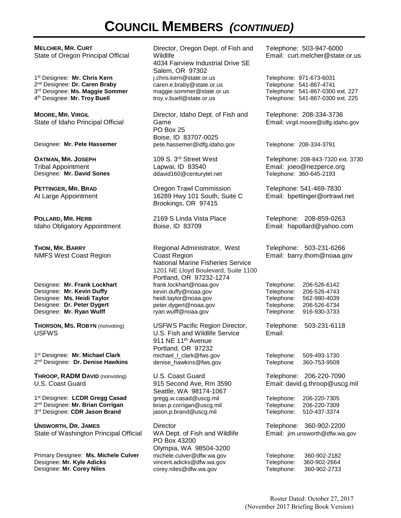# **COUNCIL MEMBERS** *(CONTINUED)*

**MELCHER, MR. CURT** State of Oregon Principal Official

1st Designee: **Mr. Chris Kern** 2nd Designee: **Dr. Caren Braby** 3rd Designee: **Ms. Maggie Sommer** 4th Designee: **Mr. Troy Buell**

**MOORE, MR. VIRGIL** State of Idaho Principal Official

**OATMAN, MR. JOSEPH** Tribal Appointment<br>Designee: Mr. David Sones

**PETTINGER, MR. BRAD** At Large Appointment

**POLLARD, MR. HERB** Idaho Obligatory Appointment

**THOM, MR. BARRY** NMFS West Coast Region

Designee: **Mr. Frank Lockhart** Designee: **Mr. Kevin Duffy** Designee: **Ms. Heidi Taylor** Designee: **Dr. Peter Dygert** Designee: **Mr. Ryan Wulff**

**THORSON, MS. ROBYN** (nonvoting) USFWS

1st Designee: **Mr. Michael Clark** 2nd Designee: **Dr. Denise Hawkins**

**THROOP, RADM DAVID** (nonvoting) U.S. Coast Guard

1st Designee: **LCDR Gregg Casad** 2nd Designee: **Mr. Brian Corrigan** 3rd Designee: **CDR Jason Brand**

**UNSWORTH, DR. JAMES** State of Washington Principal Official

Primary Designee: **Ms. Michele Culver** Designee: **Mr. Kyle Adicks** Designee: **Mr. Corey Niles**

Director, Oregon Dept. of Fish and Wildlife 4034 Fairview Industrial Drive SE Salem, OR 97302 j.chris.kern@state.or.us caren.e.braby@state.or.us maggie.sommer@state.or.us troy.v.buell@state.or.us

Director, Idaho Dept. of Fish and Game PO Box 25 Boise, ID 83707-0025 Designee: **Mr. Pete Hassemer** pete.hassemer@idfg.idaho.gov Telephone: 208-334-3791

> 109 S. 3rd Street West Lapwai, ID 83540 ddavid 160@centurytel.net Telephone: 360-645-2193

Oregon Trawl Commission 16289 Hwy 101 South, Suite C Brookings, OR 97415

2169 S Linda Vista Place Boise, ID 83709

Regional Administrator, West Coast Region National Marine Fisheries Service 1201 NE Lloyd Boulevard, Suite 1100 Portland, OR 97232-1274 frank.lockhart@noaa.gov kevin.duffy@noaa.gov heidi.taylor@noaa.gov peter.dygert@noaa.gov ryan.wulff@noaa.gov

USFWS Pacific Region Director, U.S. Fish and Wildlife Service 911 NE 11<sup>th</sup> Avenue Portland, OR 97232 michael\_l\_clark@fws.gov denise\_hawkins@fws.gov

U.S. Coast Guard 915 Second Ave, Rm 3590 Seattle, WA 98174-1067 gregg.w.casad@uscg.mil brian.p.corrigan@uscg.mil jason.p.brand@uscg.mil

**Director** WA Dept. of Fish and Wildlife PO Box 43200 Olympia, WA 98504-3200 michele.culver@dfw.wa.gov vincent.adicks@dfw.wa.gov corey.niles@dfw.wa.gov

Telephone: 503-947-6000 Email: curt.melcher@state.or.us

Telephone: 971-673-6031 Telephone: 541-867-4741 Telephone: 541-867-0300 ext. 227 Telephone: 541-867-0300 ext. 225

Telephone: 208-334-3736 Email: virgil.moore@idfg.idaho.gov

Telephone: 208-843-7320 ext. 3730 Email: joeo@nezperce.org

Telephone: 541-469-7830 Email: bpettinger@ortrawl.net

Telephone: 208-859-0263 Email: hapollard@yahoo.com

Telephone: 503-231-6266 Email: barry.thom@noaa.gov

Telephone: 206-526-6142 Telephone: 206-526-4743 Telephone: 562-980-4039 Telephone: 206-526-6734 Telephone: 916-930-3733

Telephone: 503-231-6118 Email:

Telephone: 509-493-1730 Telephone 360-753-9509

Telephone: 206-220-7090 Email: david.g.throop@uscg.mil

Telephone: 206-220-7305 Telephone: 206-220-7309 Telephone: 510-437-3374

Telephone: 360-902-2200 Email: jim.unsworth@dfw.wa.gov

Telephone: 360-902-2182 Telephone: 360-902-2664 Telephone: 360-902-2733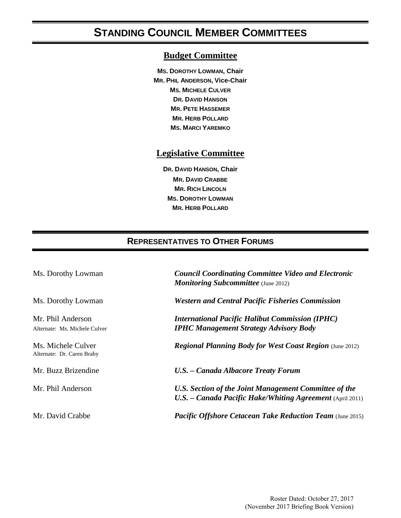# **STANDING COUNCIL MEMBER COMMITTEES**

#### **Budget Committee**

**MS. DOROTHY LOWMAN, Chair MR. PHIL ANDERSON, Vice-Chair MS. MICHELE CULVER DR. DAVID HANSON MR. PETE HASSEMER MR. HERB POLLARD MS. MARCI YAREMKO**

#### **Legislative Committee**

**DR. DAVID HANSON, Chair MR. DAVID CRABBE MR. RICH LINCOLN MS. DOROTHY LOWMAN MR. HERB POLLARD**

### **REPRESENTATIVES TO OTHER FORUMS**

| Ms. Dorothy Lowman                                 | <b>Council Coordinating Committee Video and Electronic</b><br><b>Monitoring Subcommittee</b> (June 2012)           |
|----------------------------------------------------|--------------------------------------------------------------------------------------------------------------------|
| Ms. Dorothy Lowman                                 | <b>Western and Central Pacific Fisheries Commission</b>                                                            |
| Mr. Phil Anderson<br>Alternate: Ms. Michele Culver | <b>International Pacific Halibut Commission (IPHC)</b><br><b>IPHC Management Strategy Advisory Body</b>            |
| Ms. Michele Culver<br>Alternate: Dr. Caren Braby   | <b>Regional Planning Body for West Coast Region (June 2012)</b>                                                    |
| Mr. Buzz Brizendine                                | U.S. - Canada Albacore Treaty Forum                                                                                |
| Mr. Phil Anderson                                  | U.S. Section of the Joint Management Committee of the<br>U.S. - Canada Pacific Hake/Whiting Agreement (April 2011) |
| Mr. David Crabbe                                   | <b>Pacific Offshore Cetacean Take Reduction Team</b> (June 2015)                                                   |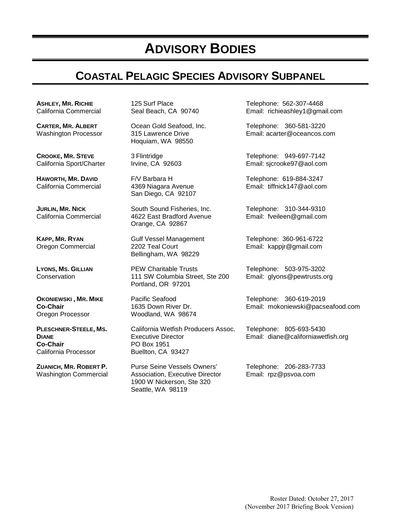# **ADVISORY BODIES**

# **COASTAL PELAGIC SPECIES ADVISORY SUBPANEL**

**ASHLEY, MR. RICHIE** California Commercial

**CARTER, MR. ALBERT** Washington Processor

**CROOKE, MR. STEVE** California Sport/Charter

**HAWORTH, MR. DAVID** California Commercial

**JURLIN, MR. NICK** California Commercial

**KAPP, MR. RYAN** Oregon Commercial

**LYONS, MS. GILLIAN Conservation** 

**OKONIEWSKI , MR. MIKE Co-Chair** Oregon Processor

**PLESCHNER-STEELE, MS. DIANE Co-Chair** California Processor

**ZUANICH, MR. ROBERT P.** Washington Commercial 125 Surf Place Seal Beach, CA 90740

Ocean Gold Seafood, Inc. 315 Lawrence Drive Hoquiam, WA 98550

3 Flintridge Irvine, CA 92603

F/V Barbara H 4369 Niagara Avenue San Diego, CA 92107

South Sound Fisheries, Inc. 4622 East Bradford Avenue Orange, CA 92867

Gulf Vessel Management 2202 Teal Court Bellingham, WA 98229

PEW Charitable Trusts 111 SW Columbia Street, Ste 200 Portland, OR 97201

Pacific Seafood 1635 Down River Dr. Woodland, WA 98674

California Wetfish Producers Assoc. Executive Director PO Box 1951 Buellton, CA 93427

Purse Seine Vessels Owners' Association, Executive Director 1900 W Nickerson, Ste 320 Seattle, WA 98119

Telephone: 562-307-4468 Email: richieashley1@gmail.com

Telephone: 360-581-3220 Email: acarter@oceancos.com

Telephone: 949-697-7142 Email: sjcrooke97@aol.com

Telephone: 619-884-3247 Email: tiffnick147@aol.com

Telephone: 310-344-9310 Email: fveileen@gmail.com

Telephone: 360-961-6722 Email: kappjr@gmail.com

Telephone: 503-975-3202 Email: glyons@pewtrusts.org

Telephone: 360-619-2019 Email: mokoniewski@pacseafood.com

Telephone: 805-693-5430 Email: [diane@californiawetfish.org](mailto:diane@californiawetfish.org)

Telephone: 206-283-7733 Email: rpz@psvoa.com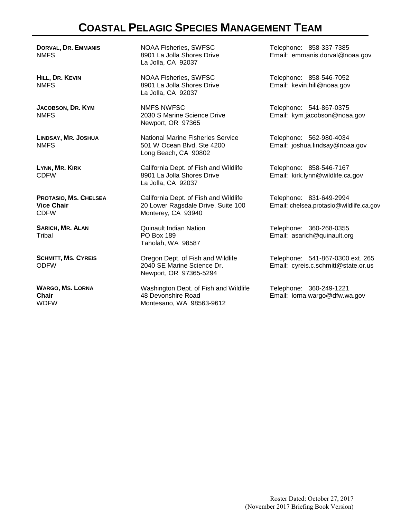# **COASTAL PELAGIC SPECIES MANAGEMENT TEAM**

**DORVAL, DR. EMMANIS** NMFS

**HILL, DR. KEVIN** NMFS

**JACOBSON, DR. KYM** NMFS

**LINDSAY, MR. JOSHUA** NMFS

**LYNN, MR. KIRK** CDFW

**PROTASIO, MS. CHELSEA Vice Chair** CDFW

**SARICH, MR. ALAN Tribal** 

**SCHMITT, MS. CYREIS**  ODFW

**WARGO, MS. LORNA Chair** WDFW

NOAA Fisheries, SWFSC 8901 La Jolla Shores Drive La Jolla, CA 92037

NOAA Fisheries, SWFSC 8901 La Jolla Shores Drive La Jolla, CA 92037

NMFS NWFSC 2030 S Marine Science Drive Newport, OR 97365

National Marine Fisheries Service 501 W Ocean Blvd, Ste 4200 Long Beach, CA 90802

California Dept. of Fish and Wildlife 8901 La Jolla Shores Drive La Jolla, CA 92037

California Dept. of Fish and Wildlife 20 Lower Ragsdale Drive, Suite 100 Monterey, CA 93940

Quinault Indian Nation PO Box 189 Taholah, WA 98587

Oregon Dept. of Fish and Wildlife 2040 SE Marine Science Dr. Newport, OR 97365-5294

Washington Dept. of Fish and Wildlife 48 Devonshire Road Montesano, WA 98563-9612

Telephone: 858-337-7385 Email: emmanis.dorval@noaa.gov

Telephone: 858-546-7052 Email: kevin.hill@noaa.gov

Telephone: 541-867-0375 Email: kym.jacobson@noaa.gov

Telephone: 562-980-4034 Email: joshua.lindsay@noaa.gov

Telephone: 858-546-7167 Email: kirk.lynn@wildlife.ca.gov

Telephone: 831-649-2994 Email: chelsea.protasio@wildlife.ca.gov

Telephone: 360-268-0355 Email: asarich@quinault.org

Telephone: 541-867-0300 ext. 265 Email: cyreis.c.schmitt@state.or.us

Telephone: 360-249-1221 Email: lorna.wargo@dfw.wa.gov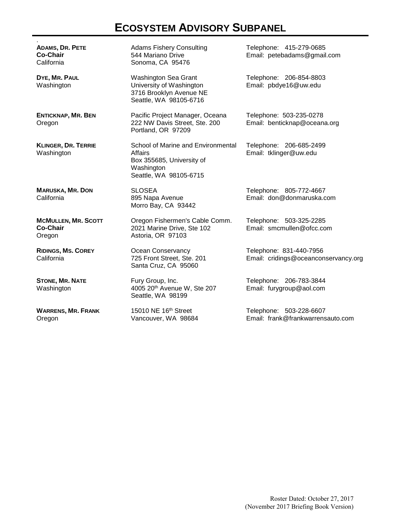# **ECOSYSTEM ADVISORY SUBPANEL**

| <b>ADAMS, DR. PETE</b><br><b>Co-Chair</b><br>California | <b>Adams Fishery Consulting</b><br>544 Mariano Drive<br>Sonoma, CA 95476                                           | Telephone: 415-279-0685<br>Email: petebadams@gmail.com          |
|---------------------------------------------------------|--------------------------------------------------------------------------------------------------------------------|-----------------------------------------------------------------|
| DYE, MR. PAUL<br>Washington                             | Washington Sea Grant<br>University of Washington<br>3716 Brooklyn Avenue NE<br>Seattle, WA 98105-6716              | Telephone: 206-854-8803<br>Email: pbdye16@uw.edu                |
| <b>ENTICKNAP, MR. BEN</b><br>Oregon                     | Pacific Project Manager, Oceana<br>222 NW Davis Street, Ste. 200<br>Portland, OR 97209                             | Telephone: 503-235-0278<br>Email: benticknap@oceana.org         |
| <b>KLINGER, DR. TERRIE</b><br>Washington                | School of Marine and Environmental<br>Affairs<br>Box 355685, University of<br>Washington<br>Seattle, WA 98105-6715 | Telephone: 206-685-2499<br>Email: tklinger@uw.edu               |
| <b>MARUSKA, MR. DON</b><br>California                   | <b>SLOSEA</b><br>895 Napa Avenue<br>Morro Bay, CA 93442                                                            | Telephone: 805-772-4667<br>Email: don@donmaruska.com            |
| <b>MCMULLEN, MR. SCOTT</b><br><b>Co-Chair</b><br>Oregon | Oregon Fishermen's Cable Comm.<br>2021 Marine Drive, Ste 102<br>Astoria, OR 97103                                  | Telephone: 503-325-2285<br>Email: smcmullen@ofcc.com            |
| <b>RIDINGS, MS. COREY</b><br>California                 | Ocean Conservancy<br>725 Front Street, Ste. 201<br>Santa Cruz, CA 95060                                            | Telephone: 831-440-7956<br>Email: cridings@oceanconservancy.org |
| <b>STONE, MR. NATE</b><br>Washington                    | Fury Group, Inc.<br>4005 20th Avenue W, Ste 207<br>Seattle, WA 98199                                               | Telephone: 206-783-3844<br>Email: furygroup@aol.com             |
| <b>WARRENS, MR. FRANK</b><br>Oregon                     | 15010 NE 16th Street<br>Vancouver, WA 98684                                                                        | Telephone: 503-228-6607<br>Email: frank@frankwarrensauto.com    |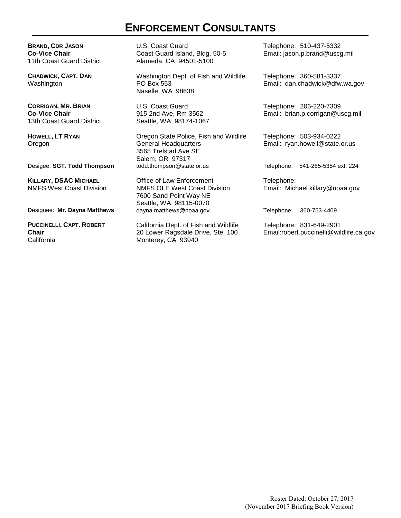## **ENFORCEMENT CONSULTANTS**

**BRAND, CDR JASON Co-Vice Chair** 11th Coast Guard District

**CHADWICK, CAPT. DAN** Washington

**CORRIGAN, MR. BRIAN Co-Vice Chair** 13th Coast Guard District

**HOWELL, LT RYAN** Oregon

**KILLARY, DSAC MICHAEL** NMFS West Coast Division

**PUCCINELLI, CAPT. ROBERT Chair California** 

U.S. Coast Guard Coast Guard Island, Bldg. 50-5 Alameda, CA 94501-5100

Washington Dept. of Fish and Wildlife PO Box 553 Naselle, WA 98638

U.S. Coast Guard 915 2nd Ave, Rm 3562 Seattle, WA 98174-1067

Oregon State Police, Fish and Wildlife General Headquarters 3565 Trelstad Ave SE Salem, OR 97317<br>todd.thompson@state.or.us Desigee: **SGT. Todd Thompson** todd.thompson@state.or.us Telephone: 541-265-5354 ext. 224

Office of Law Enforcement NMFS OLE West Coast Division 7600 Sand Point Way NE Seattle, WA 98115-0070<br>dayna.matthews@noaa.gov Designee: **Mr. Dayna Matthews** dayna.matthews@noaa.gov Telephone: 360-753-4409

> California Dept. of Fish and Wildlife 20 Lower Ragsdale Drive, Ste. 100 Monterey, CA 93940

Telephone: 510-437-5332 Email: jason.p.brand@uscg.mil

Telephone: 360-581-3337 Email: dan.chadwick@dfw.wa.gov

Telephone: 206-220-7309 Email: brian.p.corrigan@uscg.mil

Telephone: 503-934-0222 Email: ryan.howell@state.or.us

Telephone: Email: Michael.killary@noaa.gov

Telephone: 831-649-2901 Email:robert.puccinelli@wildlife.ca.gov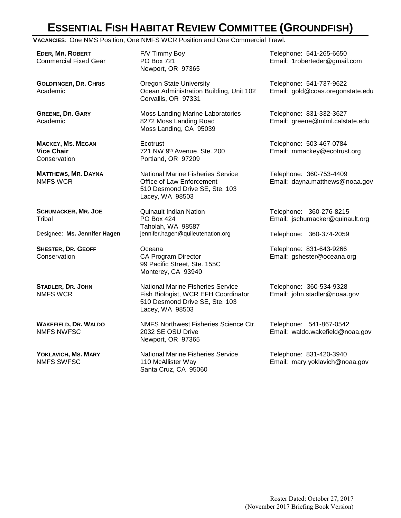# **ESSENTIAL FISH HABITAT REVIEW COMMITTEE (GROUNDFISH)**

**VACANCIES**: One NMS Position, One NMFS WCR Position and One Commercial Trawl.

**EDER, MR. ROBERT** Commercial Fixed Gear

**GOLDFINGER, DR. CHRIS** Academic

**GREENE, DR. GARY** Academic

**MACKEY, MS. MEGAN Vice Chair Conservation** 

**MATTHEWS, MR. DAYNA** NMFS WCR

**SCHUMACKER, MR. JOE** Tribal

**SHESTER, DR. GEOFF Conservation** 

**STADLER, DR. JOHN** NMFS WCR

**WAKEFIELD, DR. WALDO** NMFS NWFSC

**YOKLAVICH, MS. MARY** NMFS SWFSC

F/V Timmy Boy PO Box 721 Newport, OR 97365

Oregon State University Ocean Administration Building, Unit 102 Corvallis, OR 97331

Moss Landing Marine Laboratories 8272 Moss Landing Road Moss Landing, CA 95039

**Ecotrust** 721 NW 9th Avenue, Ste. 200 Portland, OR 97209

National Marine Fisheries Service Office of Law Enforcement 510 Desmond Drive SE, Ste. 103 Lacey, WA 98503

Quinault Indian Nation PO Box 424 Taholah, WA 98587 Designee: **Ms. Jennifer Hagen** jennifer.hagen@quileutenation.org Telephone: 360-374-2059

> Oceana CA Program Director 99 Pacific Street, Ste. 155C Monterey, CA 93940

National Marine Fisheries Service Fish Biologist, WCR EFH Coordinator 510 Desmond Drive SE, Ste. 103 Lacey, WA 98503

NMFS Northwest Fisheries Science Ctr. 2032 SE OSU Drive Newport, OR 97365

National Marine Fisheries Service 110 McAllister Way Santa Cruz, CA 95060

Telephone: 541-265-6650 Email: 1roberteder@gmail.com

Telephone: 541-737-9622 Email: gold@coas.oregonstate.edu

Telephone: 831-332-3627 Email: greene@mlml.calstate.edu

Telephone: 503-467-0784 Email: mmackey@ecotrust.org

Telephone: 360-753-4409 Email: dayna.matthews@noaa.gov

Telephone: 360-276-8215 Email: jschumacker@quinault.org

Telephone: 831-643-9266 Email: gshester@oceana.org

Telephone: 360-534-9328 Email: john.stadler@noaa.gov

Telephone: 541-867-0542 Email: waldo.wakefield@noaa.gov

Telephone: 831-420-3940 Email: mary.yoklavich@noaa.gov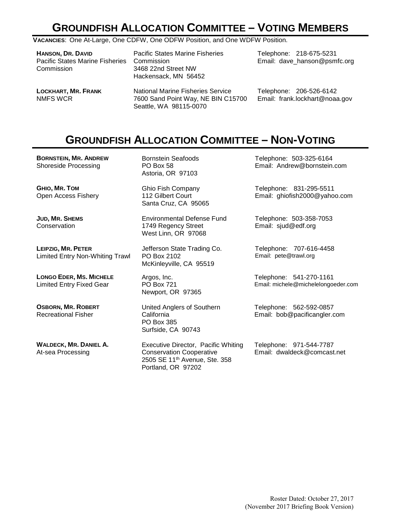# **GROUNDFISH ALLOCATION COMMITTEE – VOTING MEMBERS**

**VACANCIES**: One At-Large, One CDFW, One ODFW Position, and One WDFW Position.

| <b>HANSON, DR. DAVID</b><br><b>Pacific States Marine Fisheries</b><br>Commission | <b>Pacific States Marine Fisheries</b><br>Commission<br>3468 22nd Street NW<br>Hackensack, MN 56452 | Telephone: 218-675-5231<br>Email: dave hanson@psmfc.org |
|----------------------------------------------------------------------------------|-----------------------------------------------------------------------------------------------------|---------------------------------------------------------|
| <b>LOCKHART, MR. FRANK</b>                                                       | <b>National Marine Fisheries Service</b>                                                            | Telephone: 206-526-6142                                 |
| NMFS WCR                                                                         | 7600 Sand Point Way, NE BIN C15700                                                                  | Email: frank.lockhart@noaa.gov                          |

## **GROUNDFISH ALLOCATION COMMITTEE – NON-VOTING**

**BORNSTEIN, MR. ANDREW**  Shoreside Processing

**GHIO, MR. TOM** Open Access Fishery

**JUD, MR. SHEMS Conservation** 

**LEIPZIG, MR. PETER** Limited Entry Non-Whiting Trawl

**LONGO EDER, MS. MICHELE** Limited Entry Fixed Gear

**OSBORN, MR. ROBERT** Recreational Fisher

**WALDECK, MR. DANIEL A.** At-sea Processing

Bornstein Seafoods PO Box 58 Astoria, OR 97103

Seattle, WA 98115-0070

Ghio Fish Company 112 Gilbert Court Santa Cruz, CA 95065

Environmental Defense Fund 1749 Regency Street West Linn, OR 97068

Jefferson State Trading Co. PO Box 2102 McKinleyville, CA 95519

Argos, Inc. PO Box 721 Newport, OR 97365

United Anglers of Southern California PO Box 385 Surfside, CA 90743

Executive Director, Pacific Whiting Conservation Cooperative 2505 SE 11th Avenue, Ste. 358 Portland, OR 97202

Telephone: 503-325-6164 Email: Andrew@bornstein.com

Telephone: 831-295-5511 Email: ghiofish2000@yahoo.com

Telephone: 503-358-7053 Email: sjud@edf.org

Telephone: 707-616-4458 Email: pete@trawl.org

Telephone: 541-270-1161 Email: michele@michelelongoeder.com

Telephone: 562-592-0857 Email: bob@pacificangler.com

Telephone: 971-544-7787 Email: dwaldeck@comcast.net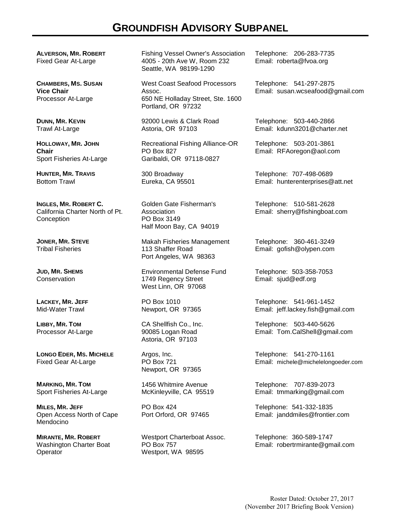## **GROUNDFISH ADVISORY SUBPANEL**

**ALVERSON, MR. ROBERT** Fixed Gear At-Large

**CHAMBERS, MS. SUSAN Vice Chair** Processor At-Large

**DUNN, MR. KEVIN** Trawl At-Large

**HOLLOWAY, MR. JOHN Chair** Sport Fisheries At-Large

**HUNTER, MR. TRAVIS** Bottom Trawl

**INGLES, MR. ROBERT C.** California Charter North of Pt. **Conception** 

**JONER, MR. STEVE**  Tribal Fisheries

**JUD, MR. SHEMS Conservation** 

**LACKEY, MR. JEFF**  Mid-Water Trawl

**LIBBY, MR. TOM**  Processor At-Large

**LONGO EDER, MS. MICHELE**  Fixed Gear At-Large

**MARKING, MR. TOM** Sport Fisheries At-Large

**MILES, MR. JEFF** Open Access North of Cape Mendocino

**MIRANTE, MR. ROBERT** Washington Charter Boat **Operator** 

Fishing Vessel Owner's Association 4005 - 20th Ave W, Room 232 Seattle, WA 98199-1290

West Coast Seafood Processors Assoc. 650 NE Holladay Street, Ste. 1600 Portland, OR 97232

92000 Lewis & Clark Road Astoria, OR 97103

Recreational Fishing Alliance-OR PO Box 827 Garibaldi, OR 97118-0827

300 Broadway Eureka, CA 95501

Golden Gate Fisherman's **Association** PO Box 3149 Half Moon Bay, CA 94019

Makah Fisheries Management 113 Shaffer Road Port Angeles, WA 98363

Environmental Defense Fund 1749 Regency Street West Linn, OR 97068

PO Box 1010 Newport, OR 97365

CA Shellfish Co., Inc. 90085 Logan Road Astoria, OR 97103

Argos, Inc. PO Box 721 Newport, OR 97365

1456 Whitmire Avenue McKinleyville, CA 95519

PO Box 424 Port Orford, OR 97465

Westport Charterboat Assoc. PO Box 757 Westport, WA 98595

Telephone: 206-283-7735 Email: roberta@fvoa.org

Telephone: 541-297-2875 Email: susan.wcseafood@gmail.com

Telephone: 503-440-2866 Email: kdunn3201@charter.net

Telephone: 503-201-3861 Email: RFAoregon@aol.com

Telephone: 707-498-0689 Email: hunterenterprises@att.net

Telephone: 510-581-2628 Email: sherry@fishingboat.com

Telephone: 360-461-3249 Email: gofish@olypen.com

Telephone: 503-358-7053 Email: sjud@edf.org

Telephone: 541-961-1452 Email: jeff.lackey.fish@gmail.com

Telephone: 503-440-5626 Email: Tom.CalShell@gmail.com

Telephone: 541-270-1161 Email: michele@michelelongoeder.com

Telephone: 707-839-2073 Email: tmmarking@gmail.com

Telephone: 541-332-1835 Email: janddmiles@frontier.com

Telephone: 360-589-1747 Email: robertrmirante@gmail.com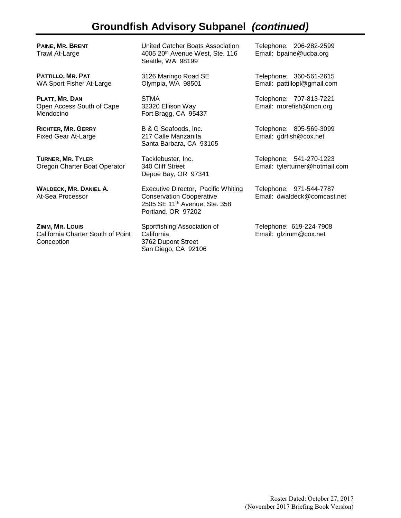## **Groundfish Advisory Subpanel** *(continued)*

**PAINE, MR. BRENT** Trawl At-Large

**PATTILLO, MR. PAT**  WA Sport Fisher At-Large

**PLATT, MR. DAN** Open Access South of Cape Mendocino

**RICHTER, MR. GERRY** Fixed Gear At-Large

**TURNER, MR. TYLER** Oregon Charter Boat Operator

**WALDECK, MR. DANIEL A.** At-Sea Processor

**ZIMM, MR. LOUIS** California Charter South of Point **Conception** 

United Catcher Boats Association 4005 20th Avenue West, Ste. 116 Seattle, WA 98199

3126 Maringo Road SE Olympia, WA 98501

STMA 32320 Ellison Way Fort Bragg, CA 95437

B & G Seafoods, Inc. 217 Calle Manzanita Santa Barbara, CA 93105

Tacklebuster, Inc. 340 Cliff Street Depoe Bay, OR 97341

Executive Director, Pacific Whiting Conservation Cooperative 2505 SE 11th Avenue, Ste. 358 Portland, OR 97202

Sportfishing Association of **California** 3762 Dupont Street San Diego, CA 92106

Telephone: 206-282-2599 Email: bpaine@ucba.org

Telephone: 360-561-2615 Email: pattillopl@gmail.com

Telephone: 707-813-7221 Email: morefish@mcn.org

Telephone: 805-569-3099 Email: gdrfish@cox.net

Telephone: 541-270-1223 Email: tylerturner@hotmail.com

Telephone: 971-544-7787 Email: dwaldeck@comcast.net

Telephone: 619-224-7908 Email: glzimm@cox.net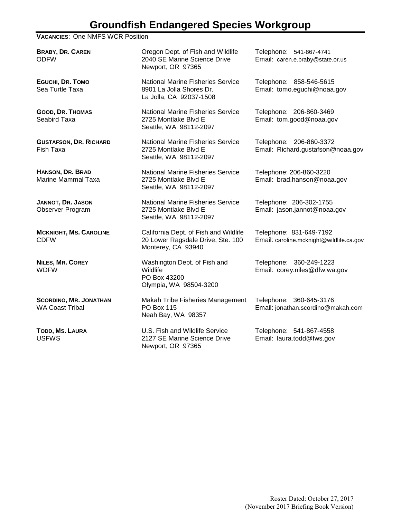## **Groundfish Endangered Species Workgroup**

#### **VACANCIES**: One NMFS WCR Position

**BRABY, DR. CAREN** ODFW Oregon Dept. of Fish and Wildlife 2040 SE Marine Science Drive Newport, OR 97365 Telephone: 541-867-4741 Email: caren.e.braby@state.or.us **EGUCHI, DR. TOMO** Sea Turtle Taxa National Marine Fisheries Service 8901 La Jolla Shores Dr. La Jolla, CA 92037-1508 Telephone: 858-546-5615 Email: tomo.eguchi@noaa.gov **GOOD, DR. THOMAS** Seabird Taxa National Marine Fisheries Service 2725 Montlake Blvd E Seattle, WA 98112-2097 Telephone: 206-860-3469 Email: tom.good@noaa.gov **GUSTAFSON, DR. RICHARD** Fish Taxa National Marine Fisheries Service 2725 Montlake Blvd E Seattle, WA 98112-2097 Telephone: 206-860-3372 Email: Richard.gustafson@noaa.gov **HANSON, DR. BRAD** Marine Mammal Taxa National Marine Fisheries Service 2725 Montlake Blvd E Seattle, WA 98112-2097 Telephone: 206-860-3220 Email: brad.hanson@noaa.gov **JANNOT, DR. JASON** Observer Program National Marine Fisheries Service 2725 Montlake Blvd E Seattle, WA 98112-2097 Telephone: 206-302-1755 Email: jason.jannot@noaa.gov **MCKNIGHT, MS. CAROLINE** CDFW California Dept. of Fish and Wildlife 20 Lower Ragsdale Drive, Ste. 100 Monterey, CA 93940 Telephone: 831-649-7192 Email: caroline.mcknight@wildlife.ca.gov **NILES, MR. COREY** WDFW Washington Dept. of Fish and **Wildlife** PO Box 43200 Olympia, WA 98504-3200 Telephone: 360-249-1223 Email: corey.niles@dfw.wa.gov **SCORDINO, MR. JONATHAN** WA Coast Tribal Makah Tribe Fisheries Management PO Box 115 Neah Bay, WA 98357 Telephone: 360-645-3176 Email: jonathan.scordino@makah.com **TODD, MS. LAURA** USFWS U.S. Fish and Wildlife Service 2127 SE Marine Science Drive Telephone: 541-867-4558 Email: laura.todd@fws.gov

Newport, OR 97365

Roster Dated: October 27, 2017 (November 2017 Briefing Book Version)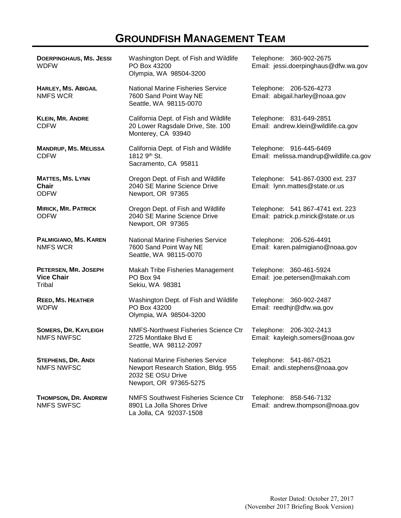# **GROUNDFISH MANAGEMENT TEAM**

| <b>DOERPINGHAUS, MS. JESSI</b><br><b>WDFW</b>          | Washington Dept. of Fish and Wildlife<br>PO Box 43200<br>Olympia, WA 98504-3200                                                | Telephone: 360-902-2675<br>Email: jessi.doerpinghaus@dfw.wa.gov         |
|--------------------------------------------------------|--------------------------------------------------------------------------------------------------------------------------------|-------------------------------------------------------------------------|
| <b>HARLEY, MS. ABIGAIL</b><br><b>NMFS WCR</b>          | <b>National Marine Fisheries Service</b><br>7600 Sand Point Way NE<br>Seattle, WA 98115-0070                                   | Telephone: 206-526-4273<br>Email: abigail.harley@noaa.gov               |
| <b>KLEIN, MR. ANDRE</b><br><b>CDFW</b>                 | California Dept. of Fish and Wildlife<br>20 Lower Ragsdale Drive, Ste. 100<br>Monterey, CA 93940                               | Telephone: 831-649-2851<br>Email: andrew.klein@wildlife.ca.gov          |
| <b>MANDRUP, MS. MELISSA</b><br><b>CDFW</b>             | California Dept. of Fish and Wildlife<br>1812 9th St.<br>Sacramento, CA 95811                                                  | Telephone: 916-445-6469<br>Email: melissa.mandrup@wildlife.ca.gov       |
| <b>MATTES, MS. LYNN</b><br><b>Chair</b><br><b>ODFW</b> | Oregon Dept. of Fish and Wildlife<br>2040 SE Marine Science Drive<br>Newport, OR 97365                                         | Telephone: 541-867-0300 ext. 237<br>Email: lynn.mattes@state.or.us      |
| <b>MIRICK, MR. PATRICK</b><br><b>ODFW</b>              | Oregon Dept. of Fish and Wildlife<br>2040 SE Marine Science Drive<br>Newport, OR 97365                                         | Telephone: 541 867-4741 ext. 223<br>Email: patrick.p.mirick@state.or.us |
| PALMIGIANO, MS. KAREN<br><b>NMFS WCR</b>               | <b>National Marine Fisheries Service</b><br>7600 Sand Point Way NE<br>Seattle, WA 98115-0070                                   | Telephone: 206-526-4491<br>Email: karen.palmigiano@noaa.gov             |
| PETERSEN, MR. JOSEPH<br><b>Vice Chair</b><br>Tribal    | Makah Tribe Fisheries Management<br>PO Box 94<br>Sekiu, WA 98381                                                               | Telephone: 360-461-5924<br>Email: joe.petersen@makah.com                |
| <b>REED, MS. HEATHER</b><br><b>WDFW</b>                | Washington Dept. of Fish and Wildlife<br>PO Box 43200<br>Olympia, WA 98504-3200                                                | Telephone: 360-902-2487<br>Email: reedhjr@dfw.wa.gov                    |
| <b>SOMERS, DR. KAYLEIGH</b><br><b>NMFS NWFSC</b>       | <b>NMFS-Northwest Fisheries Science Ctr</b><br>2725 Montlake Blvd E<br>Seattle, WA 98112-2097                                  | Telephone: 206-302-2413<br>Email: kayleigh.somers@noaa.gov              |
| <b>STEPHENS, DR. ANDI</b><br><b>NMFS NWFSC</b>         | <b>National Marine Fisheries Service</b><br>Newport Research Station, Bldg. 955<br>2032 SE OSU Drive<br>Newport, OR 97365-5275 | Telephone: 541-867-0521<br>Email: andi.stephens@noaa.gov                |
| THOMPSON, DR. ANDREW<br><b>NMFS SWFSC</b>              | <b>NMFS Southwest Fisheries Science Ctr</b><br>8901 La Jolla Shores Drive<br>La Jolla, CA 92037-1508                           | Telephone: 858-546-7132<br>Email: andrew.thompson@noaa.gov              |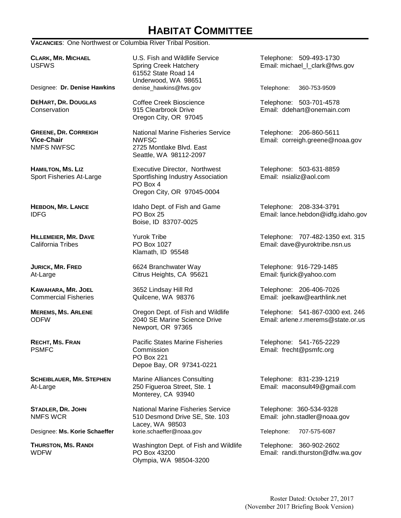# **HABITAT COMMITTEE**

**VACANCIES**: One Northwest or Columbia River Tribal Position.

**CLARK, MR. MICHAEL**  USFWS

Designee: **Dr. Denise Hawkins** denise\_hawkins@fws.gov Telephone: 360-753-9509

**DEHART, DR. DOUGLAS Conservation** 

**GREENE, DR. CORREIGH Vice-Chair** NMFS NWFSC

**HAMILTON, MS. LIZ** Sport Fisheries At-Large

**HEBDON, MR. LANCE** IDFG

**HILLEMEIER, MR. DAVE** California Tribes

**JURICK, MR. FRED** At-Large

**KAWAHARA, MR. JOEL** Commercial Fisheries

**MEREMS, MS. ARLENE** ODFW

**RECHT, MS. FRAN** PSMFC

**SCHEIBLAUER, MR. STEPHEN** At-Large

**STADLER, DR. JOHN** NMFS WCR

**THURSTON, MS. RANDI WDFW** 

U.S. Fish and Wildlife Service Spring Creek Hatchery 61552 State Road 14 Underwood, WA 98651<br>denise\_hawkins@fws.gov

Coffee Creek Bioscience 915 Clearbrook Drive Oregon City, OR 97045

National Marine Fisheries Service NWFSC 2725 Montlake Blvd. East Seattle, WA 98112-2097

Executive Director, Northwest Sportfishing Industry Association PO Box 4 Oregon City, OR 97045-0004

Idaho Dept. of Fish and Game PO Box 25 Boise, ID 83707-0025

Yurok Tribe PO Box 1027 Klamath, ID 95548

6624 Branchwater Way Citrus Heights, CA 95621

3652 Lindsay Hill Rd Quilcene, WA 98376

Oregon Dept. of Fish and Wildlife 2040 SE Marine Science Drive Newport, OR 97365

Pacific States Marine Fisheries **Commission** PO Box 221 Depoe Bay, OR 97341-0221

Marine Alliances Consulting 250 Figueroa Street, Ste. 1 Monterey, CA 93940

National Marine Fisheries Service 510 Desmond Drive SE, Ste. 103 Lacey, WA 98503 Designee: **Ms. Korie Schaeffer** korie.schaeffer@noaa.gov Telephone: 707-575-6087

> Washington Dept. of Fish and Wildlife PO Box 43200 Olympia, WA 98504-3200

Telephone: 509-493-1730 Email: michael I clark@fws.gov

Telephone: 503-701-4578 Email: ddehart@onemain.com

Telephone: 206-860-5611 Email: correigh.greene@noaa.gov

Telephone: 503-631-8859 Email: nsializ@aol.com

Telephone: 208-334-3791 Email: lance.hebdon@idfg.idaho.gov

Telephone: 707-482-1350 ext. 315 Email: dave@yuroktribe.nsn.us

Telephone: 916-729-1485 Email: fjurick@yahoo.com

Telephone: 206-406-7026 Email: joelkaw@earthlink.net

Telephone: 541-867-0300 ext. 246 Email: arlene.r.merems@state.or.us

Telephone: 541-765-2229 Email: frecht@psmfc.org

Telephone: 831-239-1219 Email: maconsult49@gmail.com

Telephone: 360-534-9328 Email: john.stadler@noaa.gov

Telephone: 360-902-2602 Email: randi.thurston@dfw.wa.gov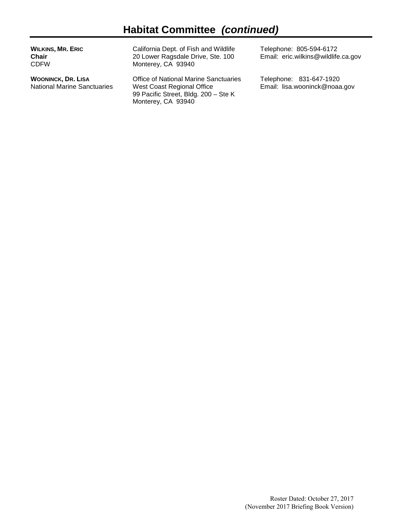| <b>WILKINS, MR. ERIC</b><br>Chair<br>CDFW | California Dept. of Fish and Wildlife<br>20 Lower Ragsdale Drive, Ste. 100<br>Monterey, CA 93940 | Telephone: 805-594-6172<br>Email: eric.wilkins@wildlife.ca.gov |  |
|-------------------------------------------|--------------------------------------------------------------------------------------------------|----------------------------------------------------------------|--|
| WOONINCK, DR. LISA                        | <b>Office of National Marine Sanctuaries</b>                                                     | Telephone: 831-647-1920                                        |  |

West Coast Regional Office 99 Pacific Street, Bldg. 200 – Ste K

Monterey, CA 93940

National Marine Sanctuaries

Roster Dated: October 27, 2017 (November 2017 Briefing Book Version)

Email: lisa.wooninck@noaa.gov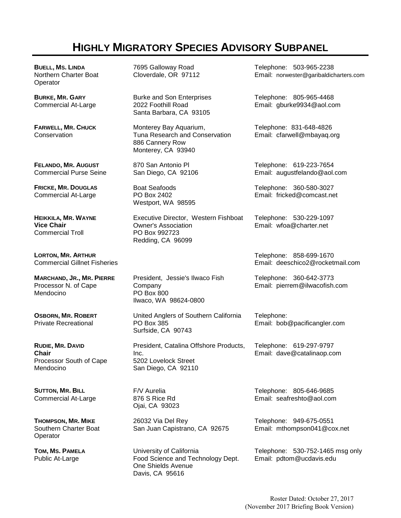# **HIGHLY MIGRATORY SPECIES ADVISORY SUBPANEL**

**BUELL, MS. LINDA** Northern Charter Boat **Operator** 

**BURKE, MR. GARY** Commercial At-Large

**FARWELL, MR. CHUCK Conservation** 

**FELANDO, MR. AUGUST** Commercial Purse Seine

**FRICKE, MR. DOUGLAS** Commercial At-Large

**HEIKKILA, MR. WAYNE Vice Chair** Commercial Troll

**LORTON, MR. ARTHUR** Commercial Gillnet Fisheries

**MARCHAND, JR., MR. PIERRE** Processor N. of Cape Mendocino

**OSBORN, MR. ROBERT** Private Recreational

**RUDIE, MR. DAVID Chair** Processor South of Cape Mendocino

**SUTTON, MR. BILL** Commercial At-Large

**THOMPSON, MR. MIKE** Southern Charter Boat **Operator** 

**TOM, MS. PAMELA** Public At-Large

7695 Galloway Road Cloverdale, OR 97112

Burke and Son Enterprises 2022 Foothill Road Santa Barbara, CA 93105

Monterey Bay Aquarium, Tuna Research and Conservation 886 Cannery Row Monterey, CA 93940

870 San Antonio Pl San Diego, CA 92106

Boat Seafoods PO Box 2402 Westport, WA 98595

Executive Director, Western Fishboat Owner's Association PO Box 992723 Redding, CA 96099

President, Jessie's Ilwaco Fish Company PO Box 800 Ilwaco, WA 98624-0800

United Anglers of Southern California PO Box 385 Surfside, CA 90743

President, Catalina Offshore Products, Inc. 5202 Lovelock Street San Diego, CA 92110

F/V Aurelia 876 S Rice Rd Ojai, CA 93023

26032 Via Del Rey San Juan Capistrano, CA 92675

University of California Food Science and Technology Dept. One Shields Avenue Davis, CA 95616

Telephone: 503-965-2238 Email: norwester@garibaldicharters.com

Telephone: 805-965-4468 Email: gburke9934@aol.com

Telephone: 831-648-4826 Email: cfarwell@mbayaq.org

Telephone: 619-223-7654 Email: augustfelando@aol.com

Telephone: 360-580-3027 Email: fricked@comcast.net

Telephone: 530-229-1097 Email: wfoa@charter.net

Telephone: 858-699-1670 Email: deeschico2@rocketmail.com

Telephone: 360-642-3773 Email: pierrem@ilwacofish.com

Telephone: Email: bob@pacificangler.com

Telephone: 619-297-9797 Email: dave@catalinaop.com

Telephone: 805-646-9685 Email: seafreshto@aol.com

Telephone: 949-675-0551 Email: mthompson041@cox.net

Telephone: 530-752-1465 msg only Email: pdtom@ucdavis.edu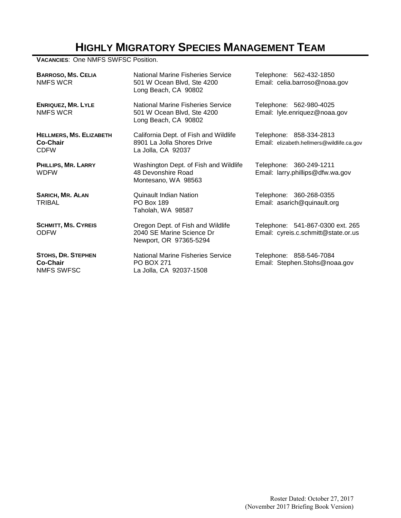# **HIGHLY MIGRATORY SPECIES MANAGEMENT TEAM**

**VACANCIES**: One NMFS SWFSC Position.

| <b>BARROSO, MS. CELIA</b><br>NMFS WCR                     | National Marine Fisheries Service<br>501 W Ocean Blvd, Ste 4200<br>Long Beach, CA 90802   | Telephone: 562-432-1850<br>Email: celia.barroso@noaa.gov                |
|-----------------------------------------------------------|-------------------------------------------------------------------------------------------|-------------------------------------------------------------------------|
| <b>ENRIQUEZ, MR. LYLE</b><br><b>NMFS WCR</b>              | National Marine Fisheries Service<br>501 W Ocean Blvd, Ste 4200<br>Long Beach, CA 90802   | Telephone: 562-980-4025<br>Email: lyle.enriquez@noaa.gov                |
| <b>HELLMERS, MS. ELIZABETH</b><br>Co-Chair<br><b>CDFW</b> | California Dept. of Fish and Wildlife<br>8901 La Jolla Shores Drive<br>La Jolla, CA 92037 | Telephone: 858-334-2813<br>Email: elizabeth.hellmers@wildlife.ca.gov    |
| PHILLIPS, MR. LARRY<br><b>WDFW</b>                        | Washington Dept. of Fish and Wildlife<br>48 Devonshire Road<br>Montesano, WA 98563        | Telephone: 360-249-1211<br>Email: larry.phillips@dfw.wa.gov             |
| <b>SARICH, MR. ALAN</b><br><b>TRIBAL</b>                  | Quinault Indian Nation<br><b>PO Box 189</b><br>Taholah, WA 98587                          | Telephone: 360-268-0355<br>Email: asarich@quinault.org                  |
| <b>SCHMITT, MS. CYREIS</b><br><b>ODFW</b>                 | Oregon Dept. of Fish and Wildlife<br>2040 SE Marine Science Dr<br>Newport, OR 97365-5294  | Telephone: 541-867-0300 ext. 265<br>Email: cyreis.c.schmitt@state.or.us |
| <b>STOHS, DR. STEPHEN</b><br>Co-Chair<br>NMFS SWFSC       | National Marine Fisheries Service<br><b>PO BOX 271</b><br>La Jolla, CA 92037-1508         | Telephone: 858-546-7084<br>Email: Stephen.Stohs@noaa.gov                |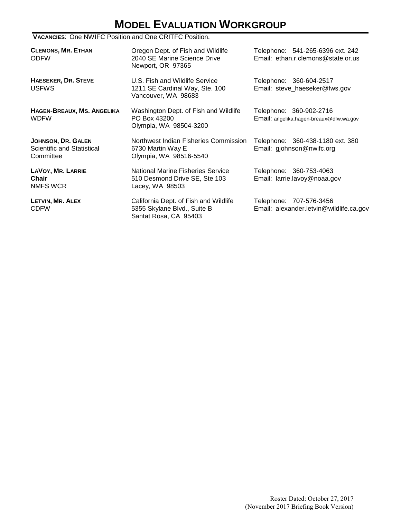# **MODEL EVALUATION WORKGROUP**

#### **VACANCIES**: One NWIFC Position and One CRITFC Position.

| <b>CLEMONS, MR. ETHAN</b><br><b>ODFW</b>                      | Oregon Dept. of Fish and Wildlife<br>2040 SE Marine Science Drive<br>Newport, OR 97365        | Telephone: 541-265-6396 ext. 242<br>Email: ethan.r.clemons@state.or.us |
|---------------------------------------------------------------|-----------------------------------------------------------------------------------------------|------------------------------------------------------------------------|
| <b>HAESEKER, DR. STEVE</b><br><b>USFWS</b>                    | U.S. Fish and Wildlife Service<br>1211 SE Cardinal Way, Ste. 100<br>Vancouver, WA 98683       | Telephone: 360-604-2517<br>Email: steve_haeseker@fws.gov               |
| HAGEN-BREAUX, MS. ANGELIKA<br><b>WDFW</b>                     | Washington Dept. of Fish and Wildlife<br>PO Box 43200<br>Olympia, WA 98504-3200               | Telephone: 360-902-2716<br>Email: angelika.hagen-breaux@dfw.wa.gov     |
| JOHNSON, DR. GALEN<br>Scientific and Statistical<br>Committee | Northwest Indian Fisheries Commission<br>6730 Martin Way E<br>Olympia, WA 98516-5540          | Telephone: 360-438-1180 ext. 380<br>Email: gjohnson@nwifc.org          |
| LAVOY, MR. LARRIE<br>Chair<br>NMFS WCR                        | National Marine Fisheries Service<br>510 Desmond Drive SE, Ste 103<br>Lacey, WA 98503         | Telephone: 360-753-4063<br>Email: larrie.lavoy@noaa.gov                |
| LETVIN, MR. ALEX<br><b>CDFW</b>                               | California Dept. of Fish and Wildlife<br>5355 Skylane Blvd., Suite B<br>Santat Rosa, CA 95403 | Telephone: 707-576-3456<br>Email: alexander.letvin@wildlife.ca.gov     |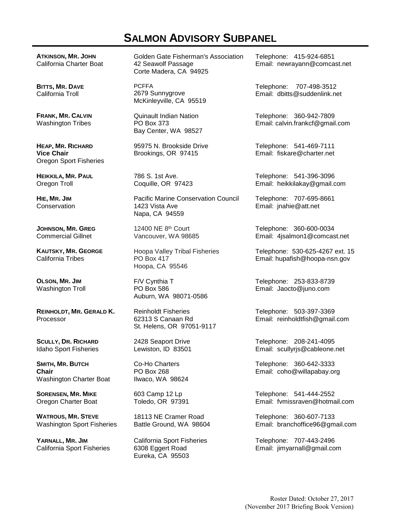## **SALMON ADVISORY SUBPANEL**

**ATKINSON, MR. JOHN** California Charter Boat

**BITTS, MR. DAVE** California Troll

**FRANK, MR. CALVIN** Washington Tribes

**HEAP, MR. RICHARD Vice Chair** Oregon Sport Fisheries

**HEIKKILA, MR. PAUL** Oregon Troll

**HIE, MR. JIM Conservation** 

**JOHNSON, MR. GREG**  Commercial Gillnet

**KAUTSKY, MR. GEORGE** California Tribes

**OLSON, MR. JIM** Washington Troll

**REINHOLDT, MR. GERALD K.** Processor

**SCULLY, DR. RICHARD** Idaho Sport Fisheries

**SMITH, MR. BUTCH Chair** Washington Charter Boat

**SORENSEN, MR. MIKE** Oregon Charter Boat

**WATROUS, MR. STEVE** Washington Sport Fisheries

**YARNALL, MR. JIM** California Sport Fisheries Golden Gate Fisherman's Association 42 Seawolf Passage Corte Madera, CA 94925

PCFFA 2679 Sunnygrove McKinleyville, CA 95519

Quinault Indian Nation PO Box 373 Bay Center, WA 98527

95975 N. Brookside Drive Brookings, OR 97415

786 S. 1st Ave. Coquille, OR 97423

Pacific Marine Conservation Council 1423 Vista Ave Napa, CA 94559

12400 NE 8th Court Vancouver, WA 98685

Hoopa Valley Tribal Fisheries PO Box 417 Hoopa, CA 95546

F/V Cynthia T PO Box 586 Auburn, WA 98071-0586

Reinholdt Fisheries 62313 S Canaan Rd St. Helens, OR 97051-9117

2428 Seaport Drive Lewiston, ID 83501

Co-Ho Charters PO Box 268 Ilwaco, WA 98624

603 Camp 12 Lp Toledo, OR 97391

18113 NE Cramer Road Battle Ground, WA 98604

California Sport Fisheries 6308 Eggert Road Eureka, CA 95503

Telephone: 415-924-6851 Email: newrayann@comcast.net

Telephone: 707-498-3512 Email: dbitts@suddenlink.net

Telephone: 360-942-7809 Email: calvin.frankcf@gmail.com

Telephone: 541-469-7111 Email: fiskare@charter.net

Telephone: 541-396-3096 Email: heikkilakay@gmail.com

Telephone: 707-695-8661 Email: jnahie@att.net

Telephone: 360-600-0034 Email: 4jsalmon1@comcast.net

Telephone: 530-625-4267 ext. 15 Email: hupafish@hoopa-nsn.gov

Telephone: 253-833-8739 Email: Jaocto@juno.com

Telephone: 503-397-3369 Email: reinholdtfish@gmail.com

Telephone: 208-241-4095 Email: scullyrjs@cableone.net

Telephone: 360-642-3333 Email: coho@willapabay.org

Telephone: 541-444-2552 Email: fvmissraven@hotmail.com

Telephone: 360-607-7133 Email: branchoffice96@gmail.com

Telephone: 707-443-2496 Email: jimyarnall@gmail.com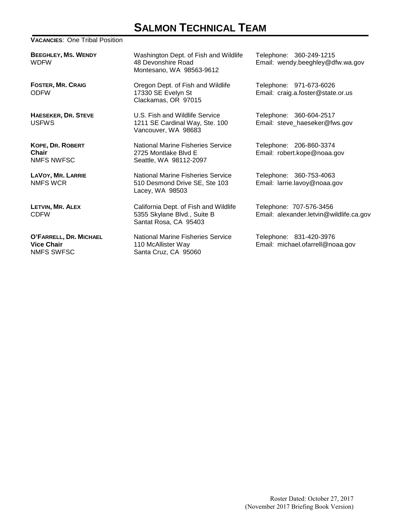# **SALMON TECHNICAL TEAM**

#### **VACANCIES**: One Tribal Position

**BEEGHLEY, MS. WENDY** WDFW

**FOSTER, MR. CRAIG** ODFW

**HAESEKER, DR. STEVE** USFWS

**KOPE, DR. ROBERT Chair** NMFS NWFSC

**LAVOY, MR. LARRIE** NMFS WCR

**LETVIN, MR. ALEX** CDFW

**O'FARRELL, DR. MICHAEL Vice Chair** NMFS SWFSC

Washington Dept. of Fish and Wildlife 48 Devonshire Road Montesano, WA 98563-9612

Oregon Dept. of Fish and Wildlife 17330 SE Evelyn St Clackamas, OR 97015

U.S. Fish and Wildlife Service 1211 SE Cardinal Way, Ste. 100 Vancouver, WA 98683

National Marine Fisheries Service 2725 Montlake Blvd E Seattle, WA 98112-2097

National Marine Fisheries Service 510 Desmond Drive SE, Ste 103 Lacey, WA 98503

California Dept. of Fish and Wildlife 5355 Skylane Blvd., Suite B Santat Rosa, CA 95403

National Marine Fisheries Service 110 McAllister Way Santa Cruz, CA 95060

Telephone: 360-249-1215 Email: wendy.beeghley@dfw.wa.gov

Telephone: 971-673-6026 Email: craig.a.foster@state.or.us

Telephone: 360-604-2517 Email: steve\_haeseker@fws.gov

Telephone: 206-860-3374 Email: robert.kope@noaa.gov

Telephone: 360-753-4063 Email: larrie.lavoy@noaa.gov

Telephone: 707-576-3456 Email: alexander.letvin@wildlife.ca.gov

Telephone: 831-420-3976 Email: michael.ofarrell@noaa.gov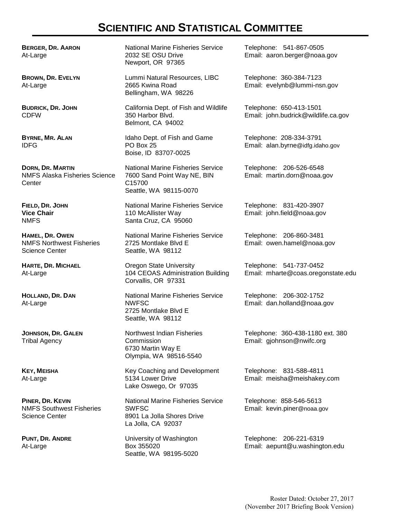## **SCIENTIFIC AND STATISTICAL COMMITTEE**

**BERGER, DR. AARON** At-Large

**BROWN, DR. EVELYN** At-Large

**BUDRICK, DR. JOHN** CDFW

**BYRNE, MR. ALAN** IDFG

**DORN, DR. MARTIN** NMFS Alaska Fisheries Science **Center** 

**FIELD, DR. JOHN Vice Chair** NMFS

**HAMEL, DR. OWEN** NMFS Northwest Fisheries Science Center

**HARTE, DR. MICHAEL** At-Large

**HOLLAND, DR. DAN** At-Large

**JOHNSON, DR. GALEN** Tribal Agency

**KEY, MEISHA** At-Large

**PINER, DR. KEVIN** NMFS Southwest Fisheries Science Center

**PUNT, DR. ANDRE** At-Large

National Marine Fisheries Service 2032 SE OSU Drive Newport, OR 97365

Lummi Natural Resources, LIBC 2665 Kwina Road Bellingham, WA 98226

California Dept. of Fish and Wildlife 350 Harbor Blvd. Belmont, CA 94002

Idaho Dept. of Fish and Game PO Box 25 Boise, ID 83707-0025

National Marine Fisheries Service 7600 Sand Point Way NE, BIN C15700 Seattle, WA 98115-0070

National Marine Fisheries Service 110 McAllister Way Santa Cruz, CA 95060

National Marine Fisheries Service 2725 Montlake Blvd E Seattle, WA 98112

Oregon State University 104 CEOAS Administration Building Corvallis, OR 97331

National Marine Fisheries Service NWFSC 2725 Montlake Blvd E Seattle, WA 98112

Northwest Indian Fisheries Commission 6730 Martin Way E Olympia, WA 98516-5540

Key Coaching and Development 5134 Lower Drive Lake Oswego, Or 97035

National Marine Fisheries Service SWFSC 8901 La Jolla Shores Drive La Jolla, CA 92037

University of Washington Box 355020 Seattle, WA 98195-5020 Telephone: 541-867-0505 Email: aaron.berger@noaa.gov

Telephone: 360-384-7123 Email: evelynb@lummi-nsn.gov

Telephone: 650-413-1501 Email: john.budrick@wildlife.ca.gov

Telephone: 208-334-3791 Email: alan.byrne@idfg.idaho.gov

Telephone: 206-526-6548 Email: martin.dorn@noaa.gov

Telephone: 831-420-3907 Email: john.field@noaa.gov

Telephone: 206-860-3481 Email: owen.hamel@noaa.gov

Telephone: 541-737-0452 Email: mharte@coas.oregonstate.edu

Telephone: 206-302-1752 Email: dan.holland@noaa.gov

Telephone: 360-438-1180 ext. 380 Email: gjohnson@nwifc.org

Telephone: 831-588-4811 Email: meisha@meishakey.com

Telephone: 858-546-5613 Email: kevin.piner@noaa.gov

Telephone: 206-221-6319 Email: aepunt@u.washington.edu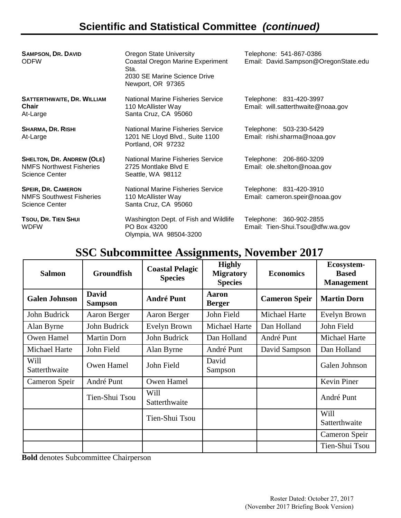# **Scientific and Statistical Committee** *(continued)*

| <b>SAMPSON, DR. DAVID</b><br><b>ODFW</b>                                                     | <b>Oregon State University</b><br>Coastal Oregon Marine Experiment<br>Sta.<br>2030 SE Marine Science Drive<br>Newport, OR 97365 | Telephone: 541-867-0386<br>Email: David.Sampson@OregonState.edu |
|----------------------------------------------------------------------------------------------|---------------------------------------------------------------------------------------------------------------------------------|-----------------------------------------------------------------|
| <b>SATTERTHWAITE, DR. WILLIAM</b><br><b>Chair</b><br>At-Large                                | National Marine Fisheries Service<br>110 McAllister Way<br>Santa Cruz, CA 95060                                                 | Telephone: 831-420-3997<br>Email: will.satterthwaite@noaa.gov   |
| <b>SHARMA, DR. RISHI</b><br>At-Large                                                         | National Marine Fisheries Service<br>1201 NE Lloyd Blvd., Suite 1100<br>Portland, OR 97232                                      | Telephone: 503-230-5429<br>Email: rishi.sharma@noaa.gov         |
| <b>SHELTON, DR. ANDREW (OLE)</b><br><b>NMFS Northwest Fisheries</b><br><b>Science Center</b> | National Marine Fisheries Service<br>2725 Montlake Blvd E<br>Seattle, WA 98112                                                  | Telephone: 206-860-3209<br>Email: ole.shelton@noaa.gov          |
| <b>SPEIR, DR. CAMERON</b><br><b>NMFS Southwest Fisheries</b><br><b>Science Center</b>        | <b>National Marine Fisheries Service</b><br>110 McAllister Way<br>Santa Cruz, CA 95060                                          | Telephone: 831-420-3910<br>Email: cameron.speir@noaa.gov        |
| TSOU, DR. TIEN SHUI<br><b>WDFW</b>                                                           | Washington Dept. of Fish and Wildlife<br>PO Box 43200<br>Olympia, WA 98504-3200                                                 | Telephone: 360-902-2855<br>Email: Tien-Shui.Tsou@dfw.wa.gov     |

# **SSC Subcommittee Assignments, November 2017**

| <b>Salmon</b>         | <b>Groundfish</b>              | <b>Coastal Pelagic</b><br><b>Species</b> | <b>Highly</b><br><b>Migratory</b><br><b>Species</b> | <b>Economics</b>     | Ecosystem-<br><b>Based</b><br><b>Management</b> |
|-----------------------|--------------------------------|------------------------------------------|-----------------------------------------------------|----------------------|-------------------------------------------------|
| <b>Galen Johnson</b>  | <b>David</b><br><b>Sampson</b> | <b>André Punt</b>                        | <b>Aaron</b><br><b>Berger</b>                       | <b>Cameron Speir</b> | <b>Martin Dorn</b>                              |
| John Budrick          | Aaron Berger                   | Aaron Berger                             | John Field                                          | Michael Harte        | Evelyn Brown                                    |
| Alan Byrne            | John Budrick                   | Evelyn Brown                             | Michael Harte                                       | Dan Holland          | John Field                                      |
| Owen Hamel            | <b>Martin Dorn</b>             | John Budrick                             | Dan Holland                                         | André Punt           | Michael Harte                                   |
| Michael Harte         | John Field                     | Alan Byrne                               | André Punt                                          | David Sampson        | Dan Holland                                     |
| Will<br>Satterthwaite | Owen Hamel                     | John Field                               | David<br>Sampson                                    |                      | Galen Johnson                                   |
| Cameron Speir         | André Punt                     | Owen Hamel                               |                                                     |                      | Kevin Piner                                     |
|                       | Tien-Shui Tsou                 | Will<br>Satterthwaite                    |                                                     |                      | André Punt                                      |
|                       |                                | Tien-Shui Tsou                           |                                                     |                      | Will<br>Satterthwaite                           |
|                       |                                |                                          |                                                     |                      | Cameron Speir                                   |
|                       |                                |                                          |                                                     |                      | Tien-Shui Tsou                                  |

**Bold** denotes Subcommittee Chairperson